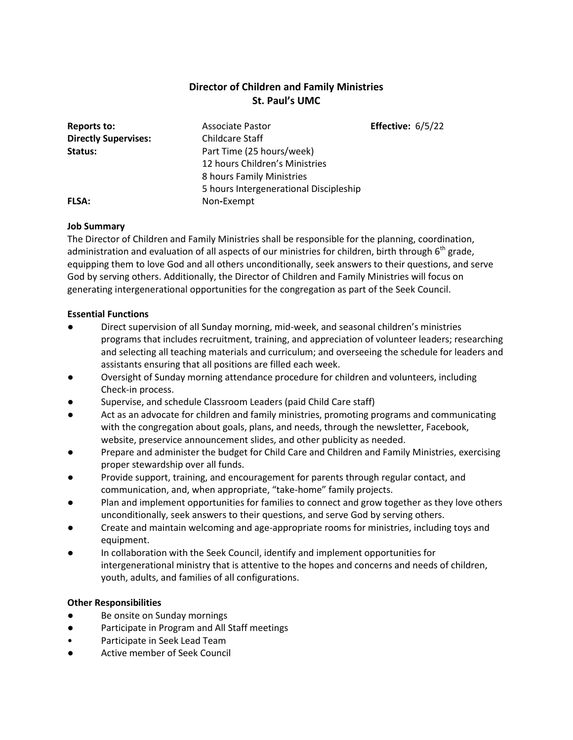# **Director of Children and Family Ministries St. Paul's UMC**

| Reports to:                 | <b>Associate Pastor</b>                | Effective: $6/5/22$ |
|-----------------------------|----------------------------------------|---------------------|
| <b>Directly Supervises:</b> | <b>Childcare Staff</b>                 |                     |
| Status:                     | Part Time (25 hours/week)              |                     |
|                             | 12 hours Children's Ministries         |                     |
|                             | 8 hours Family Ministries              |                     |
|                             | 5 hours Intergenerational Discipleship |                     |
| <b>FLSA:</b>                | Non-Exempt                             |                     |

#### **Job Summary**

The Director of Children and Family Ministries shall be responsible for the planning, coordination, administration and evaluation of all aspects of our ministries for children, birth through  $6<sup>th</sup>$  grade, equipping them to love God and all others unconditionally, seek answers to their questions, and serve God by serving others. Additionally, the Director of Children and Family Ministries will focus on generating intergenerational opportunities for the congregation as part of the Seek Council.

#### **Essential Functions**

- Direct supervision of all Sunday morning, mid-week, and seasonal children's ministries programs that includes recruitment, training, and appreciation of volunteer leaders; researching and selecting all teaching materials and curriculum; and overseeing the schedule for leaders and assistants ensuring that all positions are filled each week.
- Oversight of Sunday morning attendance procedure for children and volunteers, including Check-in process.
- Supervise, and schedule Classroom Leaders (paid Child Care staff)
- Act as an advocate for children and family ministries, promoting programs and communicating with the congregation about goals, plans, and needs, through the newsletter, Facebook, website, preservice announcement slides, and other publicity as needed.
- Prepare and administer the budget for Child Care and Children and Family Ministries, exercising proper stewardship over all funds.
- Provide support, training, and encouragement for parents through regular contact, and communication, and, when appropriate, "take-home" family projects.
- Plan and implement opportunities for families to connect and grow together as they love others unconditionally, seek answers to their questions, and serve God by serving others.
- Create and maintain welcoming and age-appropriate rooms for ministries, including toys and equipment.
- In collaboration with the Seek Council, identify and implement opportunities for intergenerational ministry that is attentive to the hopes and concerns and needs of children, youth, adults, and families of all configurations.

## **Other Responsibilities**

- Be onsite on Sunday mornings
- Participate in Program and All Staff meetings
- Participate in Seek Lead Team
- Active member of Seek Council